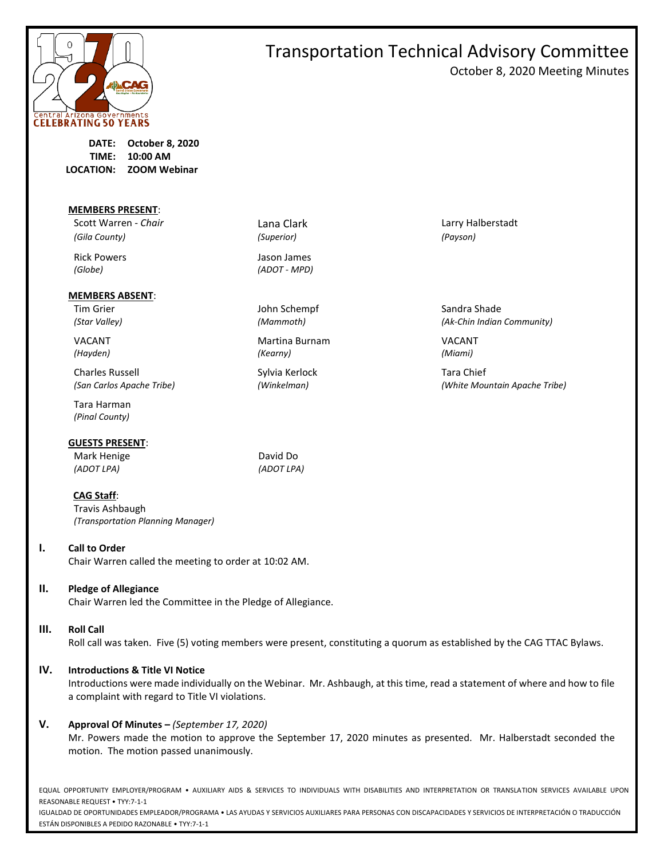

# Transportation Technical Advisory Committee October 8, 2020 Meeting Minutes

**DATE: October 8, 2020 TIME: 10:00 AM LOCATION: ZOOM Webinar**

**MEMBERS PRESENT**:

*(Gila County) (Superior) (Payson)*

#### **MEMBERS ABSENT**:

Charles Russell **Sylvia Kerlock** Tara Chief

Tara Harman *(Pinal County)*

#### **GUESTS PRESENT**:

Mark Henige **David Do** *(ADOT LPA) (ADOT LPA)*

#### **CAG Staff**:

Travis Ashbaugh *(Transportation Planning Manager)*

#### **I. Call to Order**

Chair Warren called the meeting to order at 10:02 AM.

#### **II. Pledge of Allegiance**

Chair Warren led the Committee in the Pledge of Allegiance.

#### **III. Roll Call**

Roll call was taken. Five (5) voting members were present, constituting a quorum as established by the CAG TTAC Bylaws.

#### **IV. Introductions & Title VI Notice**

Introductions were made individually on the Webinar. Mr. Ashbaugh, at this time, read a statement of where and how to file a complaint with regard to Title VI violations.

#### **V. Approval Of Minutes –** *(September 17, 2020)*

Mr. Powers made the motion to approve the September 17, 2020 minutes as presented. Mr. Halberstadt seconded the motion. The motion passed unanimously.

EQUAL OPPORTUNITY EMPLOYER/PROGRAM • AUXILIARY AIDS & SERVICES TO INDIVIDUALS WITH DISABILITIES AND INTERPRETATION OR TRANSLATION SERVICES AVAILABLE UPON REASONABLE REQUEST • TYY:7-1-1

IGUALDAD DE OPORTUNIDADES EMPLEADOR/PROGRAMA • LAS AYUDAS Y SERVICIOS AUXILIARES PARA PERSONAS CON DISCAPACIDADES Y SERVICIOS DE INTERPRETACIÓN O TRADUCCIÓN ESTÁN DISPONIBLES A PEDIDO RAZONABLE • TYY:7-1-1

Rick Powers **Accord Powers** Jason James *(Globe) (ADOT - MPD)*

Tim Grier North Schempf Sandra Shade John Schempf Sandra Shade Sandra Shade

VACANT Martina Burnam VACANT *(Hayden) (Kearny) (Miami)*

Scott Warren - *Chair* **Lana Clark** Lana Clark Larry Halberstadt

*(Star Valley) (Mammoth) (Ak-Chin Indian Community)*

*(San Carlos Apache Tribe) (Winkelman) (White Mountain Apache Tribe)*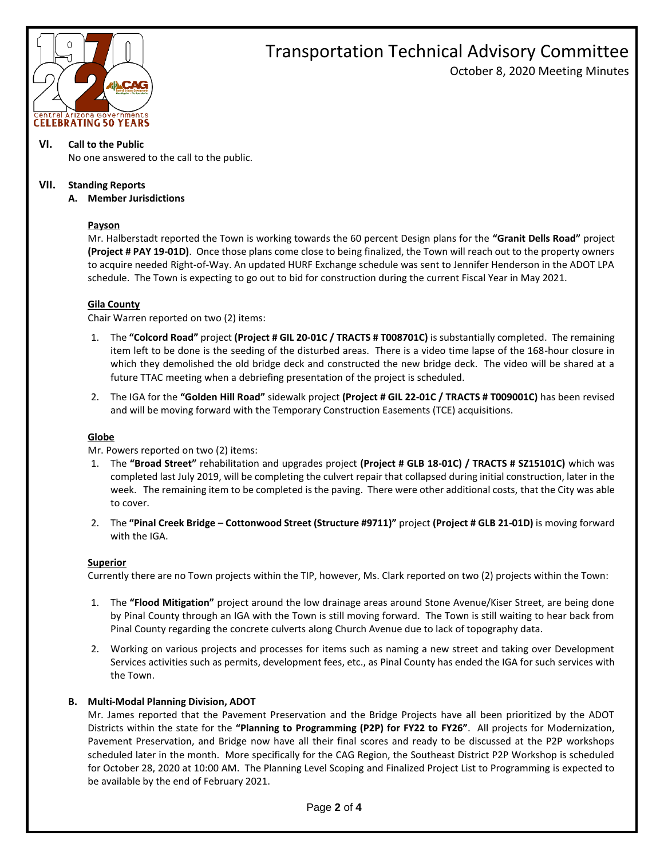

# Transportation Technical Advisory Committee October 8, 2020 Meeting Minutes

#### **VI. Call to the Public**

No one answered to the call to the public.

#### **VII. Standing Reports**

#### **A. Member Jurisdictions**

## **Payson**

Mr. Halberstadt reported the Town is working towards the 60 percent Design plans for the **"Granit Dells Road"** project **(Project # PAY 19-01D)**. Once those plans come close to being finalized, the Town will reach out to the property owners to acquire needed Right-of-Way. An updated HURF Exchange schedule was sent to Jennifer Henderson in the ADOT LPA schedule. The Town is expecting to go out to bid for construction during the current Fiscal Year in May 2021.

#### **Gila County**

Chair Warren reported on two (2) items:

- 1. The **"Colcord Road"** project **(Project # GIL 20-01C / TRACTS # T008701C)** is substantially completed. The remaining item left to be done is the seeding of the disturbed areas. There is a video time lapse of the 168-hour closure in which they demolished the old bridge deck and constructed the new bridge deck. The video will be shared at a future TTAC meeting when a debriefing presentation of the project is scheduled.
- 2. The IGA for the **"Golden Hill Road"** sidewalk project **(Project # GIL 22-01C / TRACTS # T009001C)** has been revised and will be moving forward with the Temporary Construction Easements (TCE) acquisitions.

#### **Globe**

Mr. Powers reported on two (2) items:

- 1. The **"Broad Street"** rehabilitation and upgrades project **(Project # GLB 18-01C) / TRACTS # SZ15101C)** which was completed last July 2019, will be completing the culvert repair that collapsed during initial construction, later in the week. The remaining item to be completed is the paving. There were other additional costs, that the City was able to cover.
- 2. The **"Pinal Creek Bridge – Cottonwood Street (Structure #9711)"** project **(Project # GLB 21-01D)** is moving forward with the IGA.

#### **Superior**

Currently there are no Town projects within the TIP, however, Ms. Clark reported on two (2) projects within the Town:

- 1. The **"Flood Mitigation"** project around the low drainage areas around Stone Avenue/Kiser Street, are being done by Pinal County through an IGA with the Town is still moving forward. The Town is still waiting to hear back from Pinal County regarding the concrete culverts along Church Avenue due to lack of topography data.
- 2. Working on various projects and processes for items such as naming a new street and taking over Development Services activities such as permits, development fees, etc., as Pinal County has ended the IGA for such services with the Town.

#### **B. Multi-Modal Planning Division, ADOT**

Mr. James reported that the Pavement Preservation and the Bridge Projects have all been prioritized by the ADOT Districts within the state for the **"Planning to Programming (P2P) for FY22 to FY26"**. All projects for Modernization, Pavement Preservation, and Bridge now have all their final scores and ready to be discussed at the P2P workshops scheduled later in the month. More specifically for the CAG Region, the Southeast District P2P Workshop is scheduled for October 28, 2020 at 10:00 AM. The Planning Level Scoping and Finalized Project List to Programming is expected to be available by the end of February 2021.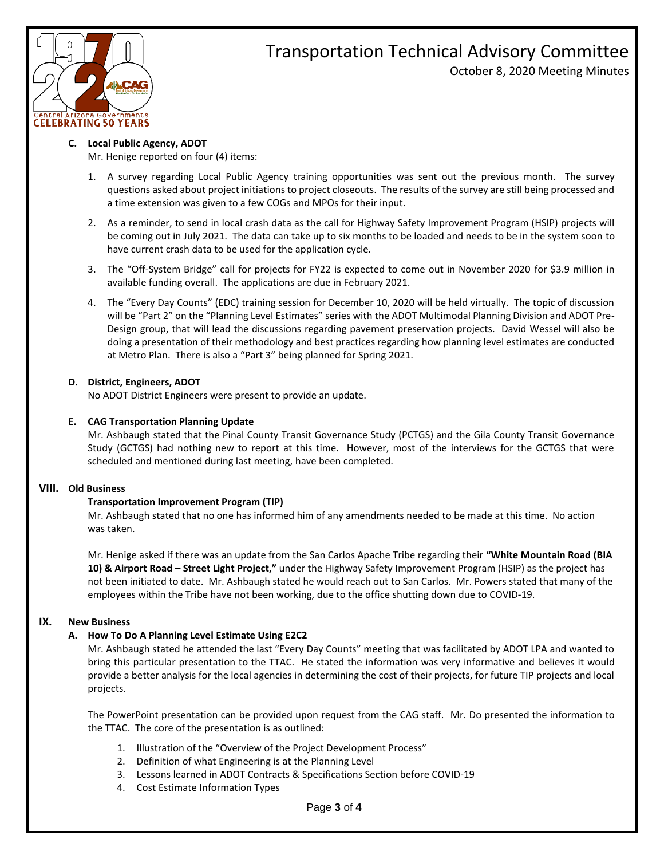

# Transportation Technical Advisory Committee October 8, 2020 Meeting Minutes

#### **C. Local Public Agency, ADOT**

Mr. Henige reported on four (4) items:

- 1. A survey regarding Local Public Agency training opportunities was sent out the previous month. The survey questions asked about project initiations to project closeouts. The results of the survey are still being processed and a time extension was given to a few COGs and MPOs for their input.
- 2. As a reminder, to send in local crash data as the call for Highway Safety Improvement Program (HSIP) projects will be coming out in July 2021. The data can take up to six months to be loaded and needs to be in the system soon to have current crash data to be used for the application cycle.
- 3. The "Off-System Bridge" call for projects for FY22 is expected to come out in November 2020 for \$3.9 million in available funding overall. The applications are due in February 2021.
- 4. The "Every Day Counts" (EDC) training session for December 10, 2020 will be held virtually. The topic of discussion will be "Part 2" on the "Planning Level Estimates" series with the ADOT Multimodal Planning Division and ADOT Pre-Design group, that will lead the discussions regarding pavement preservation projects. David Wessel will also be doing a presentation of their methodology and best practices regarding how planning level estimates are conducted at Metro Plan. There is also a "Part 3" being planned for Spring 2021.

## **D. District, Engineers, ADOT**

No ADOT District Engineers were present to provide an update.

## **E. CAG Transportation Planning Update**

Mr. Ashbaugh stated that the Pinal County Transit Governance Study (PCTGS) and the Gila County Transit Governance Study (GCTGS) had nothing new to report at this time. However, most of the interviews for the GCTGS that were scheduled and mentioned during last meeting, have been completed.

# **VIII. Old Business**

# **Transportation Improvement Program (TIP)**

Mr. Ashbaugh stated that no one has informed him of any amendments needed to be made at this time. No action was taken.

Mr. Henige asked if there was an update from the San Carlos Apache Tribe regarding their **"White Mountain Road (BIA 10) & Airport Road – Street Light Project,"** under the Highway Safety Improvement Program (HSIP) as the project has not been initiated to date. Mr. Ashbaugh stated he would reach out to San Carlos. Mr. Powers stated that many of the employees within the Tribe have not been working, due to the office shutting down due to COVID-19.

#### **IX. New Business**

# **A. How To Do A Planning Level Estimate Using E2C2**

Mr. Ashbaugh stated he attended the last "Every Day Counts" meeting that was facilitated by ADOT LPA and wanted to bring this particular presentation to the TTAC. He stated the information was very informative and believes it would provide a better analysis for the local agencies in determining the cost of their projects, for future TIP projects and local projects.

The PowerPoint presentation can be provided upon request from the CAG staff. Mr. Do presented the information to the TTAC. The core of the presentation is as outlined:

- 1. Illustration of the "Overview of the Project Development Process"
- 2. Definition of what Engineering is at the Planning Level
- 3. Lessons learned in ADOT Contracts & Specifications Section before COVID-19
- 4. Cost Estimate Information Types